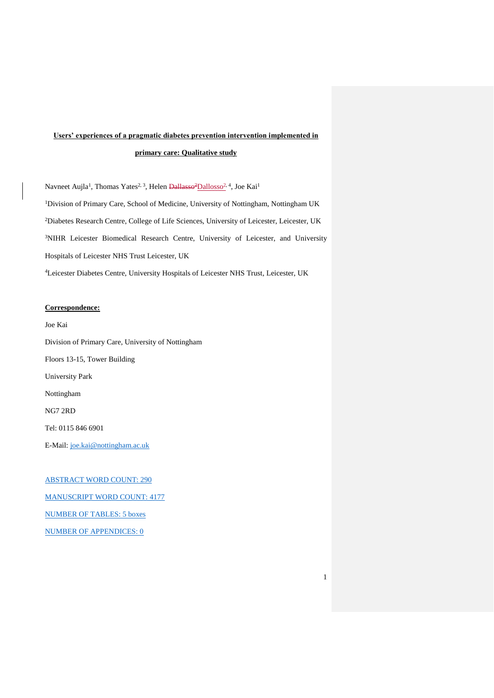# **Users' experiences of a pragmatic diabetes prevention intervention implemented in primary care: Qualitative study**

Navneet Aujla<sup>1</sup>, Thomas Yates<sup>2, 3</sup>, Helen <del>Dallasso<sup>2</sup>Dallosso<sup>2, 4</sup>,</del> Joe Kai<sup>1</sup> <sup>1</sup>Division of Primary Care, School of Medicine, University of Nottingham, Nottingham UK <sup>2</sup>Diabetes Research Centre, College of Life Sciences, University of Leicester, Leicester, UK <sup>3</sup>NIHR Leicester Biomedical Research Centre, University of Leicester, and University Hospitals of Leicester NHS Trust Leicester, UK <sup>4</sup>Leicester Diabetes Centre, University Hospitals of Leicester NHS Trust, Leicester, UK

1

# **Correspondence:**

Joe Kai Division of Primary Care, University of Nottingham Floors 13-15, Tower Building University Park Nottingham NG7 2RD Tel: 0115 846 6901 E-Mail: [joe.kai@nottingham.ac.uk](mailto:joe.kai@nottingham.ac.uk)

ABSTRACT WORD COUNT: 290 MANUSCRIPT WORD COUNT: 4177 NUMBER OF TABLES: 5 boxes NUMBER OF APPENDICES: 0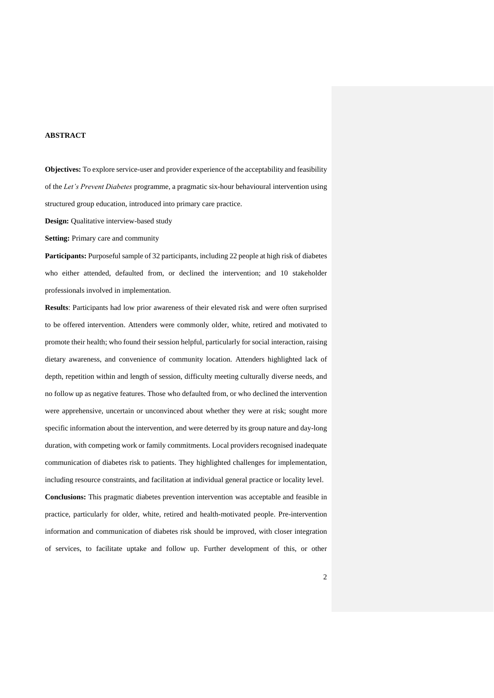# **ABSTRACT**

**Objectives:** To explore service-user and provider experience of the acceptability and feasibility of the *Let's Prevent Diabetes* programme, a pragmatic six-hour behavioural intervention using structured group education, introduced into primary care practice.

**Design:** Qualitative interview-based study

**Setting:** Primary care and community

Participants: Purposeful sample of 32 participants, including 22 people at high risk of diabetes who either attended, defaulted from, or declined the intervention; and 10 stakeholder professionals involved in implementation.

**Results**: Participants had low prior awareness of their elevated risk and were often surprised to be offered intervention. Attenders were commonly older, white, retired and motivated to promote their health; who found their session helpful, particularly for social interaction, raising dietary awareness, and convenience of community location. Attenders highlighted lack of depth, repetition within and length of session, difficulty meeting culturally diverse needs, and no follow up as negative features. Those who defaulted from, or who declined the intervention were apprehensive, uncertain or unconvinced about whether they were at risk; sought more specific information about the intervention, and were deterred by its group nature and day-long duration, with competing work or family commitments. Local providers recognised inadequate communication of diabetes risk to patients. They highlighted challenges for implementation, including resource constraints, and facilitation at individual general practice or locality level. **Conclusions:** This pragmatic diabetes prevention intervention was acceptable and feasible in practice, particularly for older, white, retired and health-motivated people. Pre-intervention information and communication of diabetes risk should be improved, with closer integration of services, to facilitate uptake and follow up. Further development of this, or other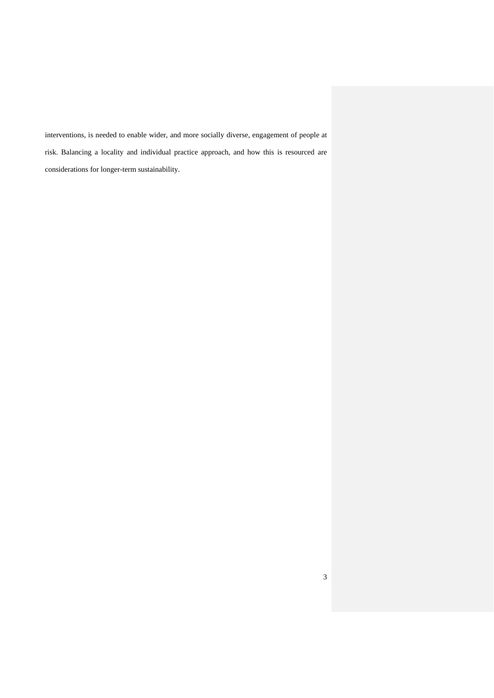interventions, is needed to enable wider, and more socially diverse, engagement of people at risk. Balancing a locality and individual practice approach, and how this is resourced are considerations for longer-term sustainability.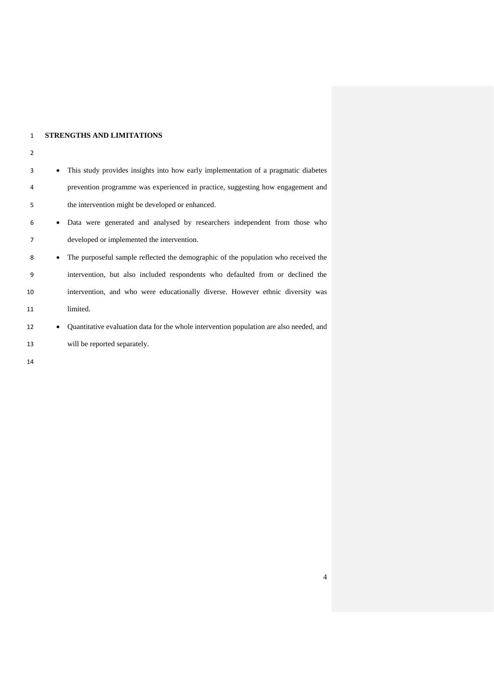# **STRENGTHS AND LIMITATIONS**

will be reported separately.

| 3  | $\bullet$ | This study provides insights into how early implementation of a pragmatic diabetes      |  |
|----|-----------|-----------------------------------------------------------------------------------------|--|
| 4  |           | prevention programme was experienced in practice, suggesting how engagement and         |  |
| 5  |           | the intervention might be developed or enhanced.                                        |  |
| 6  |           | • Data were generated and analysed by researchers independent from those who            |  |
| 7  |           | developed or implemented the intervention.                                              |  |
| 8  | $\bullet$ | The purposeful sample reflected the demographic of the population who received the      |  |
| 9  |           | intervention, but also included respondents who defaulted from or declined the          |  |
| 10 |           | intervention, and who were educationally diverse. However ethnic diversity was          |  |
| 11 |           | limited.                                                                                |  |
| 12 | $\bullet$ | Quantitative evaluation data for the whole intervention population are also needed, and |  |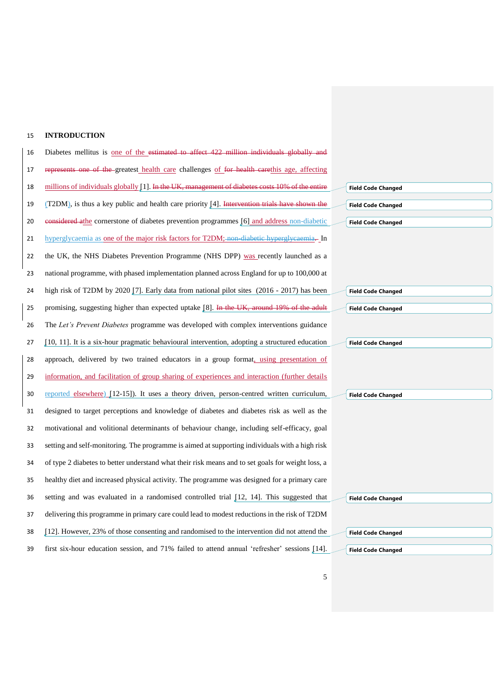# **INTRODUCTION**

| 16 | Diabetes mellitus is <u>one of the estimated to affect 422 million individuals globally and</u>   |
|----|---------------------------------------------------------------------------------------------------|
| 17 | represents one of the greatest health care challenges of for health earethis age, affecting       |
| 18 | millions of individuals globally [1]. In the UK, management of diabetes costs 10% of the entire   |
| 19 | (T2DM), is thus a key public and health care priority [4]. Intervention trials have shown the     |
| 20 | eonsidered athe cornerstone of diabetes prevention programmes [6] and address non-diabetic        |
| 21 | hyperglycaemia as one of the major risk factors for T2DM; non-diabetic hyperglycaemia.- In        |
| 22 | the UK, the NHS Diabetes Prevention Programme (NHS DPP) was recently launched as a                |
| 23 | national programme, with phased implementation planned across England for up to 100,000 at        |
| 24 | high risk of T2DM by 2020 [7]. Early data from national pilot sites (2016 - 2017) has been        |
| 25 | promising, suggesting higher than expected uptake [8]. In the UK, around 19% of the adult         |
| 26 | The Let's Prevent Diabetes programme was developed with complex interventions guidance            |
| 27 | [10, 11]. It is a six-hour pragmatic behavioural intervention, adopting a structured education    |
| 28 | approach, delivered by two trained educators in a group format, using presentation of             |
| 29 | information, and facilitation of group sharing of experiences and interaction (further details    |
| 30 | reported elsewhere) [12-15]). It uses a theory driven, person-centred written curriculum,         |
| 31 | designed to target perceptions and knowledge of diabetes and diabetes risk as well as the         |
| 32 | motivational and volitional determinants of behaviour change, including self-efficacy, goal       |
| 33 | setting and self-monitoring. The programme is aimed at supporting individuals with a high risk    |
| 34 | of type 2 diabetes to better understand what their risk means and to set goals for weight loss, a |
| 35 | healthy diet and increased physical activity. The programme was designed for a primary care       |
| 36 | setting and was evaluated in a randomised controlled trial [12, 14]. This suggested that          |
| 37 | delivering this programme in primary care could lead to modest reductions in the risk of T2DM     |
| 38 | [12]. However, 23% of those consenting and randomised to the intervention did not attend the      |
| 39 | first six-hour education session, and 71% failed to attend annual 'refresher' sessions [14].      |

**Field Code Changed Field Code Changed Field Code Changed**

**Field Code Changed**

**Field Code Changed**

**Field Code Changed**

**Field Code Changed**

**Field Code Changed**

|  | <b>Field Code Changed</b> |  |  |
|--|---------------------------|--|--|
|  |                           |  |  |

**Field Code Changed**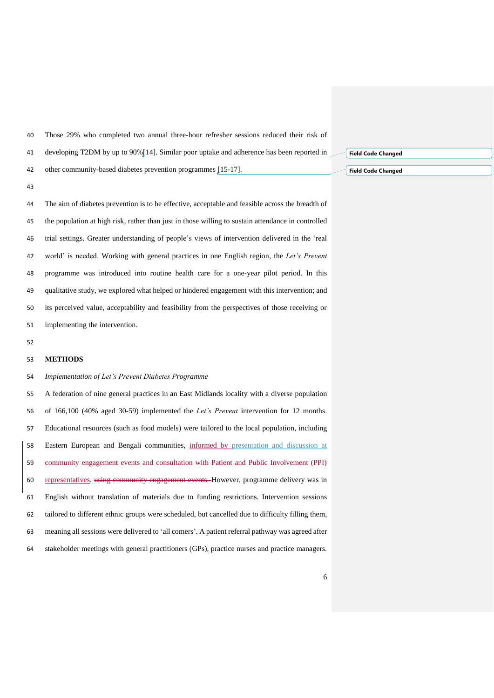Those 29% who completed two annual three-hour refresher sessions reduced their risk of

developing T2DM by up to 90%[14]. Similar poor uptake and adherence has been reported in

other community-based diabetes prevention programmes [15-17].

 The aim of diabetes prevention is to be effective, acceptable and feasible across the breadth of the population at high risk, rather than just in those willing to sustain attendance in controlled trial settings. Greater understanding of people's views of intervention delivered in the 'real world' is needed. Working with general practices in one English region, the *Let's Prevent* programme was introduced into routine health care for a one-year pilot period. In this qualitative study, we explored what helped or hindered engagement with this intervention; and its perceived value, acceptability and feasibility from the perspectives of those receiving or implementing the intervention.

# **METHODS**

*Implementation of Let's Prevent Diabetes Programme*

 A federation of nine general practices in an East Midlands locality with a diverse population of 166,100 (40% aged 30-59) implemented the *Let's Prevent* intervention for 12 months. Educational resources (such as food models) were tailored to the local population, including Eastern European and Bengali communities, informed by presentation and discussion at community engagement events and consultation with Patient and Public Involvement (PPI) representatives. using community engagement events. However, programme delivery was in English without translation of materials due to funding restrictions. Intervention sessions tailored to different ethnic groups were scheduled, but cancelled due to difficulty filling them, meaning all sessions were delivered to 'all comers'. A patient referral pathway was agreed after stakeholder meetings with general practitioners (GPs), practice nurses and practice managers.

**Field Code Changed**

**Field Code Changed**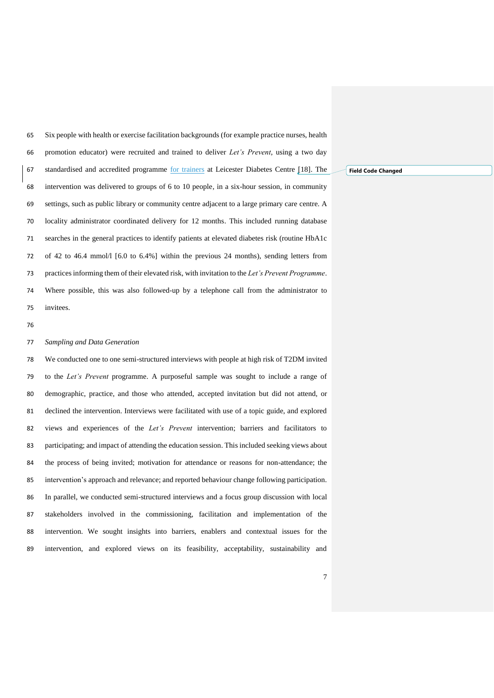Six people with health or exercise facilitation backgrounds (for example practice nurses, health promotion educator) were recruited and trained to deliver *Let's Prevent*, using a two day standardised and accredited programme for trainers at Leicester Diabetes Centre [18]. The intervention was delivered to groups of 6 to 10 people, in a six-hour session, in community settings, such as public library or community centre adjacent to a large primary care centre. A locality administrator coordinated delivery for 12 months. This included running database searches in the general practices to identify patients at elevated diabetes risk (routine HbA1c of 42 to 46.4 mmol/l [6.0 to 6.4%] within the previous 24 months), sending letters from practicesinforming them of their elevated risk, with invitation to the *Let's Prevent Programme*. Where possible, this was also followed-up by a telephone call from the administrator to invitees.

#### *Sampling and Data Generation*

 We conducted one to one semi-structured interviews with people at high risk of T2DM invited to the *Let's Prevent* programme. A purposeful sample was sought to include a range of demographic, practice, and those who attended, accepted invitation but did not attend, or declined the intervention. Interviews were facilitated with use of a topic guide, and explored views and experiences of the *Let's Prevent* intervention; barriers and facilitators to participating; and impact of attending the education session. This included seeking views about the process of being invited; motivation for attendance or reasons for non-attendance; the intervention's approach and relevance; and reported behaviour change following participation. In parallel, we conducted semi-structured interviews and a focus group discussion with local stakeholders involved in the commissioning, facilitation and implementation of the intervention. We sought insights into barriers, enablers and contextual issues for the intervention, and explored views on its feasibility, acceptability, sustainability and

**Field Code Changed**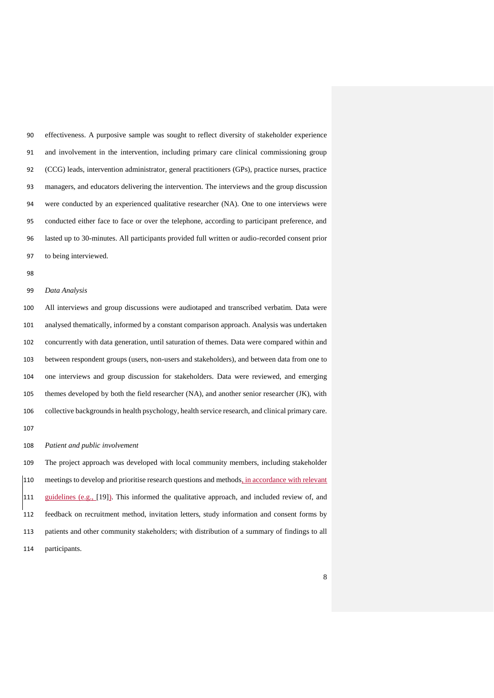effectiveness. A purposive sample was sought to reflect diversity of stakeholder experience and involvement in the intervention, including primary care clinical commissioning group (CCG) leads, intervention administrator, general practitioners (GPs), practice nurses, practice managers, and educators delivering the intervention. The interviews and the group discussion were conducted by an experienced qualitative researcher (NA). One to one interviews were conducted either face to face or over the telephone, according to participant preference, and lasted up to 30-minutes. All participants provided full written or audio-recorded consent prior to being interviewed.

#### *Data Analysis*

 All interviews and group discussions were audiotaped and transcribed verbatim. Data were analysed thematically, informed by a constant comparison approach. Analysis was undertaken concurrently with data generation, until saturation of themes. Data were compared within and between respondent groups (users, non-users and stakeholders), and between data from one to one interviews and group discussion for stakeholders. Data were reviewed, and emerging themes developed by both the field researcher (NA), and another senior researcher (JK), with collective backgrounds in health psychology, health service research, and clinical primary care.

#### *Patient and public involvement*

 The project approach was developed with local community members, including stakeholder meetings to develop and prioritise research questions and methods, in accordance with relevant guidelines (e.g., [19]). This informed the qualitative approach, and included review of, and feedback on recruitment method, invitation letters, study information and consent forms by patients and other community stakeholders; with distribution of a summary of findings to all participants.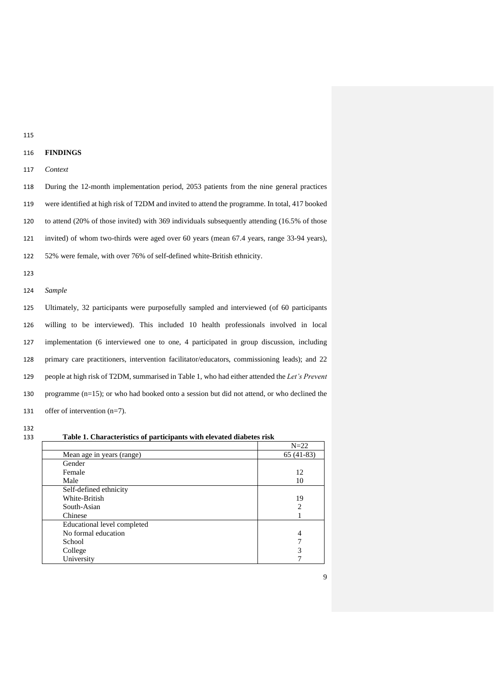# **FINDINGS**

# *Context*

 During the 12-month implementation period, 2053 patients from the nine general practices were identified at high risk of T2DM and invited to attend the programme. In total, 417 booked to attend (20% of those invited) with 369 individuals subsequently attending (16.5% of those invited) of whom two-thirds were aged over 60 years (mean 67.4 years, range 33-94 years), 52% were female, with over 76% of self-defined white-British ethnicity.

*Sample* 

 Ultimately, 32 participants were purposefully sampled and interviewed (of 60 participants willing to be interviewed). This included 10 health professionals involved in local implementation (6 interviewed one to one, 4 participated in group discussion, including primary care practitioners, intervention facilitator/educators, commissioning leads); and 22 people at high risk of T2DM, summarised in Table 1, who had either attended the *Let's Prevent* programme (n=15); or who had booked onto a session but did not attend, or who declined the offer of intervention (n=7).

**Table 1. Characteristics of participants with elevated diabetes risk**

|                             | $N=22$      |
|-----------------------------|-------------|
| Mean age in years (range)   | $65(41-83)$ |
| Gender                      |             |
| Female                      | 12          |
| Male                        | 10          |
| Self-defined ethnicity      |             |
| White-British               | 19          |
| South-Asian                 | 2           |
| Chinese                     |             |
| Educational level completed |             |
| No formal education         | 4           |
| School                      |             |
| College                     | 3           |
| University                  |             |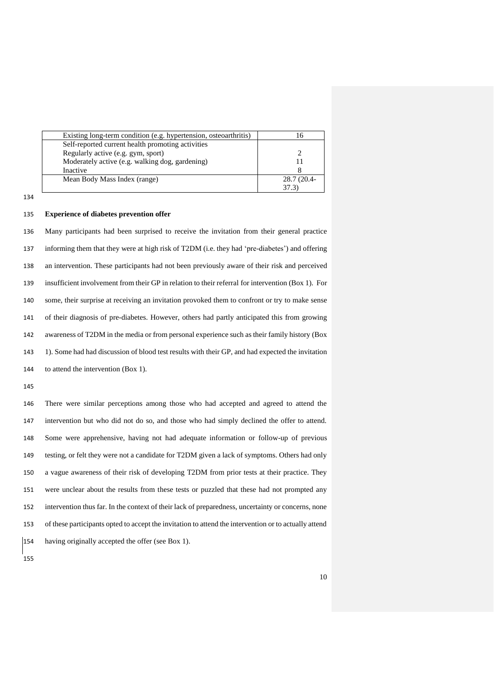| 28.7 (20.4- |
|-------------|
|             |
|             |

# **Experience of diabetes prevention offer**

 Many participants had been surprised to receive the invitation from their general practice informing them that they were at high risk of T2DM (i.e. they had 'pre-diabetes') and offering an intervention. These participants had not been previously aware of their risk and perceived insufficient involvement from their GP in relation to their referral for intervention (Box 1). For some, their surprise at receiving an invitation provoked them to confront or try to make sense of their diagnosis of pre-diabetes. However, others had partly anticipated this from growing awareness of T2DM in the media or from personal experience such as their family history (Box 1). Some had had discussion of blood test results with their GP, and had expected the invitation to attend the intervention (Box 1).

 There were similar perceptions among those who had accepted and agreed to attend the intervention but who did not do so, and those who had simply declined the offer to attend. Some were apprehensive, having not had adequate information or follow-up of previous testing, or felt they were not a candidate for T2DM given a lack of symptoms. Others had only a vague awareness of their risk of developing T2DM from prior tests at their practice. They were unclear about the results from these tests or puzzled that these had not prompted any intervention thus far. In the context of their lack of preparedness, uncertainty or concerns, none of these participants opted to accept the invitation to attend the intervention or to actually attend having originally accepted the offer (see Box 1).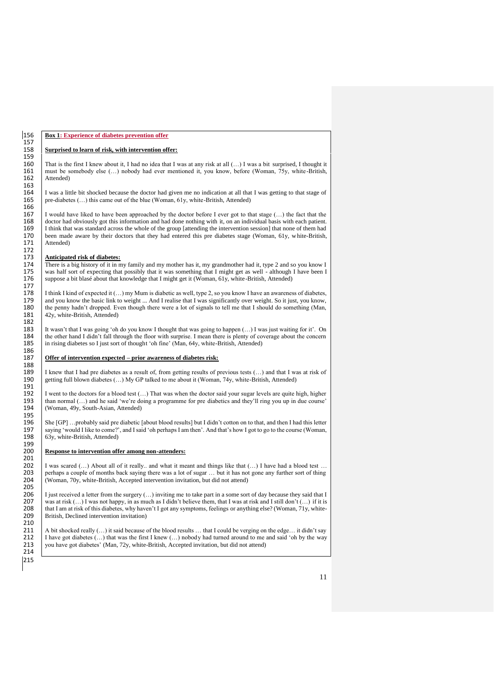# 156 **Box 1: Experience of diabetes prevention offer**

#### Surprised to learn of risk, with intervention offer:

160 That is the first I knew about it, I had no idea that I was at any risk at all  $(...)$  I was a bit surprised, I thought it 161 must be somebody else  $(...)$  nobody had ever mentioned it, you know, before (Woman, 75y, white-Br 161 must be somebody else (...) nobody had ever mentioned it, you know, before (Woman, 75y, white -British, 162 Attended)

164 I was a little bit shocked because the doctor had given me no indication at all that I was getting to that stage of  $165$  pre-diabetes (...) this came out of the blue (Woman, 61y, white-British, Attended) pre-diabetes (...) this came out of the blue (Woman, 61y, white-British, Attended)

167 I would have liked to have been approached by the doctor before I ever got to that stage (...) the fact that the doctor had obviously got this information and had done nothing with it, on an individual basis with each 168 doctor had obviously got this information and had done nothing with it, on an individual basis with each patient.<br>169 I think that was standard across the whole of the group lattending the intervention session that non 169 I think that was standard across the whole of the group [attending the intervention session] that none of them had<br>170 been made aware by their doctors that they had entered this pre-diabetes stage (Woman, 61y, white-B 170 been made aware by their doctors that they had entered this pre diabetes stage (Woman, 61y, white-British, 171 Attended)

# 173 **Anticipated risk of diabetes:**<br>174 **There is a big history of it in m**

174 There is a big history of it in my family and my mother has it, my grandmother had it, type 2 and so you know I<br>175 was half sort of expecting that possibly that it was something that I might get as well - although I h 175 was half sort of expecting that possibly that it was something that I might get as well - although I have been I<br>176 suppose a bit blasé about that knowledge that I might get it (Woman, 61y, white-British, Attended) suppose a bit blasé about that knowledge that I might get it (Woman, 61y, white-British, Attended)

178 I think I kind of expected it  $(...)$  my Mum is diabetic as well, type 2, so you know I have an awareness of diabetes, and you know the basic link to weight  $...$  And I realise that I was significantly over weight. So it j 179 and you know the basic link to weight ... And I realise that I was significantly over weight. So it just, you know, the penny hadn't dropped. Even though there were a lot of signals to tell me that I should do somethin 180 the penny hadn't dropped. Even though there were a lot of signals to tell me that I should do something (Man, 181 42v, white-British, Attended) 42y, white-British, Attended)

183 It wasn't that I was going 'oh do you know I thought that was going to happen (…) I was just waiting for it'. On 184 the other hand I didn't fall through the floor with surprise. I mean there is plenty of coverage about the concern<br>185 in rising diabetes so I just sort of thought 'oh fine' (Man, 64y, white-British, Attended) in rising diabetes so I just sort of thought 'oh fine' (Man, 64y, white-British, Attended)

# Offer of intervention expected – prior awareness of diabetes risk:

189 I knew that I had pre diabetes as a result of, from getting results of previous tests (...) and that I was at risk of getting full blown diabetes (...) My GP talked to me about it (Woman, 74y, white-British, Attended) 190 getting full blown diabetes (…) My GP talked to me about it (Woman, 74y, white-British, Attended)

192 I went to the doctors for a blood test  $(...)$  That was when the doctor said your sugar levels are quite high, higher than normal  $(...)$  and he said 'we're doing a programme for pre diabetics and they'll ring you up in due c 193  $\bigcup_{v=1}^{\infty}$  than normal (...) and he said 'we're doing a programme for pre diabetics and they'll ring you up in due course' (Woman, 49y, South-Asian, Attended)

196 She [GP] ...probably said pre diabetic [about blood results] but I didn't cotton on to that, and then I had this letter saying 'would I like to come?', and I said 'oh perhaps I am then'. And that's how I got to go to t 197 saying 'would I like to come?', and I said 'oh perhaps I am then'. And that's how I got to go to the course (Woman, 198 63y, white-British, Attended) 63y, white-British, Attended)

### Response to intervention offer among non-attenders:

202 I was scared  $\dots$ ) About all of it really.. and what it meant and things like that  $\dots$ ) I have had a blood test  $\dots$  203 perhaps a couple of months back saying there was a lot of sugar  $\dots$  but it has not gone any fu 203 perhaps a couple of months back saying there was a lot of sugar … but it has not gone any further sort of thing 204 (Woman, 70y, white-British, Accepted intervention invitation, but did not attend) (Woman, 70y, white-British, Accepted intervention invitation, but did not attend)

206 I just received a letter from the surgery (...) inviting me to take part in a some sort of day because they said that I was at risk () I was not happy in as much as I didn't believe them that I was at risk and I still 207 was at risk  $(...)$  I was not happy, in as much as I didn't believe them, that I was at risk and I still don't  $(...)$  if it is 208 that I am at risk of this diabetes, why haven't I got any symptoms, feelings or anything else 208 that I am at risk of this diabetes, why haven't I got any symptoms, feelings or anything else? (Woman, 71y, white-<br>209 Eritish, Declined intervention invitation) British, Declined intervention invitation)

211 A bit shocked really  $(...)$  it said because of the blood results  $...$  that I could be verging on the edge… it didn't say 212 I have got diabetes  $(...)$  that was the first I knew  $(...)$  nobody had turned around to me and said 'o 212 I have got diabetes  $(\dots)$  that was the first I knew  $(\dots)$  nobody had turned around to me and said 'oh by the way 213 vou have got diabetes' (Man, 72y, white-British, Accepted invitation, but did not attend) you have got diabetes' (Man, 72y, white-British, Accepted invitation, but did not attend)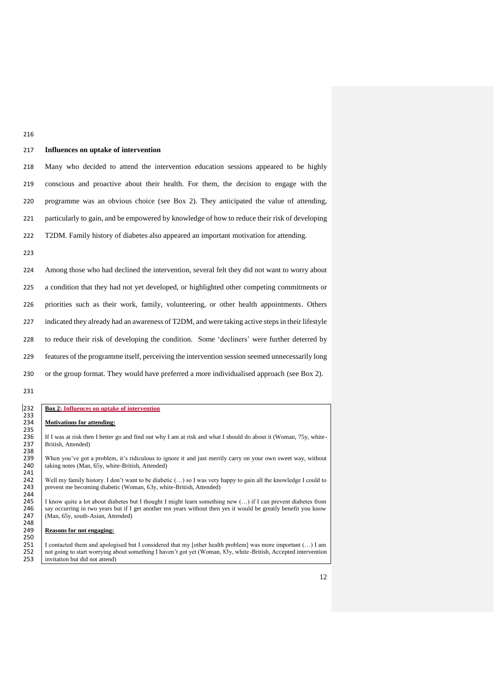| P. |         |
|----|---------|
|    | ٦       |
| ۰. | ×<br>۰, |

# 217 **Influences on uptake of intervention**

 Many who decided to attend the intervention education sessions appeared to be highly conscious and proactive about their health. For them, the decision to engage with the programme was an obvious choice (see Box 2). They anticipated the value of attending, particularly to gain, and be empowered by knowledge of how to reduce their risk of developing T2DM. Family history of diabetes also appeared an important motivation for attending.

223

 Among those who had declined the intervention, several felt they did not want to worry about a condition that they had not yet developed, or highlighted other competing commitments or priorities such as their work, family, volunteering, or other health appointments. Others indicated they already had an awareness of T2DM, and were taking active steps in their lifestyle to reduce their risk of developing the condition. Some 'decliners' were further deterred by features of the programme itself, perceiving the intervention session seemed unnecessarily long or the group format. They would have preferred a more individualised approach (see Box 2).

231

#### 232 **Box 2: Influences on uptake of intervention** 233 **Motivations for attending:** 235 236 If I was at risk then I better go and find out why I am at risk and what I should do about it (Woman, 75y, white-<br>237 I stritish, Attended) British, Attended) 238<br>239 239 When you've got a problem, it's ridiculous to ignore it and just merrily carry on your own sweet way, without taking notes (Man, 65y, white-British, Attended) taking notes (Man, 65y, white-British, Attended) 241<br>242 242 Well my family history. I don't want to be diabetic (…) so I was very happy to gain all the knowledge I could to 243 | prevent me becoming diabetic (Woman, 63y, white-British, Attended) 244<br>245 245 I know quite a lot about diabetes but I thought I might learn something new (...) if I can prevent diabetes from 246 say occurring in two years but if I get another ten years without then yes it would be greatly benefi 246 say occurring in two years but if I get another ten years without then yes it would be greatly benefit you know 247 (Man, 65y, south-Asian, Attended) (Man, 65y, south-Asian, Attended) 248<br>249 **Reasons for not engaging:** 250 251 I contacted them and apologised but I considered that my [other health problem] was more important  $(...)$  I am 252 I not going to start worrving about something I haven't got yet (Woman, 83y, white-British, Accepted inte 252 not going to start worrying about something I haven't got yet (Woman, 83y, white-British, Accepted intervention<br>253 invitation but did not attend) invitation but did not attend)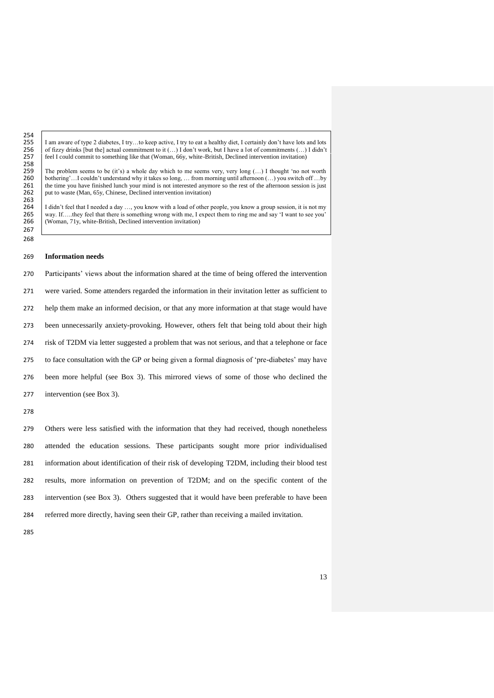255 I am aware of type 2 diabetes, I try…to keep active, I try to eat a healthy diet, I certainly don't have lots and lots of fizzy drinks [but the] actual commitment to it  $(...)$  I don't work, but I have a lot of commitment 256 of fizzy drinks [but the] actual commitment to it  $(...)$  I don't work, but I have a lot of commitments  $(...)$  I didn't <br>257 eel I could commit to something like that (Woman, 66y, white-British, Declined intervention invitat feel I could commit to something like that (Woman, 66y, white-British, Declined intervention invitation)

259 The problem seems to be (it's) a whole day which to me seems very, very long  $(...)$  I thought 'no not worth 260 bothering'... I couldn't understand why it takes so long ... from morning until afternoon  $(...)$  vou switch off 260 bothering'...I couldn't understand why it takes so long, ... from morning until afternoon (...) you switch off …by 261 the time you have finished lunch your mind is not interested anymore so the rest of the afternoon s 261 the time you have finished lunch your mind is not interested anymore so the rest of the afternoon session is just 262 put to waste (Man, 65y, Chinese, Declined intervention invitation) put to waste (Man, 65y, Chinese, Declined intervention invitation)

264 I didn't feel that I needed a day ..., you know with a load of other people, you know a group session, it is not my 265 way. If .... they feel that there is something wrong with me, I expect them to ring me and say 'I 265 way. If….they feel that there is something wrong with me, I expect them to ring me and say 'I want to see you'l <br>266 Woman, 71v, white-British, Declined intervention invitation) (Woman, 71y, white-British, Declined intervention invitation)

#### **Information needs**

 Participants' views about the information shared at the time of being offered the intervention were varied. Some attenders regarded the information in their invitation letter as sufficient to help them make an informed decision, or that any more information at that stage would have been unnecessarily anxiety-provoking. However, others felt that being told about their high risk of T2DM via letter suggested a problem that was not serious, and that a telephone or face to face consultation with the GP or being given a formal diagnosis of 'pre-diabetes' may have been more helpful (see Box 3). This mirrored views of some of those who declined the intervention (see Box 3).

254<br>255

258<br>259

263<br>264

 

 Others were less satisfied with the information that they had received, though nonetheless attended the education sessions. These participants sought more prior individualised information about identification of their risk of developing T2DM, including their blood test results, more information on prevention of T2DM; and on the specific content of the intervention (see Box 3). Others suggested that it would have been preferable to have been referred more directly, having seen their GP, rather than receiving a mailed invitation.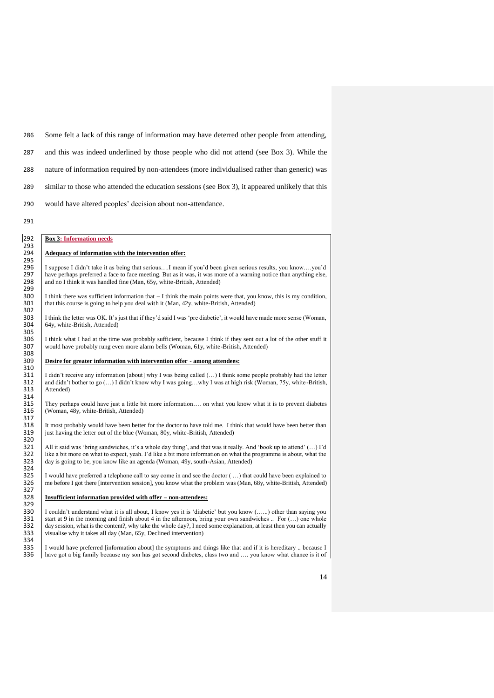286 Some felt a lack of this range of information may have deterred other people from attending,

287 and this was indeed underlined by those people who did not attend (see Box 3). While the

288 nature of information required by non-attendees (more individualised rather than generic) was

289 similar to those who attended the education sessions (see Box 3), it appeared unlikely that this

- 290 would have altered peoples' decision about non-attendance.
- 291

295

323<br>324<br>325

327<br>328

329<br>330

# 292 **Box 3: Information needs** 293<br>294

### Adequacy of information with the intervention offer:

296 I suppose I didn't take it as being that serious....I mean if you'd been given serious results, you know....you'd have perhaps preferred a face to face meeting. But as it was, it was more of a warning notice than anyth 297 have perhaps preferred a face to face meeting. But as it was, it was more of a warning notice than anything else, 298 and no I think it was handled fine (Man, 65y, white-British, Attended) and no I think it was handled fine (Man, 65y, white-British, Attended)

299<br>300 300 I think there was sufficient information that  $-1$  think the main points were that, you know, this is my condition, 301 that this course is going to help you deal with it (Man, 42y, white-British, Attended) that this course is going to help you deal with it (Man, 42y, white-British, Attended) 302

303 I think the letter was OK. It's just that if they'd said I was 'pre diabetic', it would have made more sense (Woman, 64y, white-British, Attended)

305 306 I think what I had at the time was probably sufficient, because I think if they sent out a lot of the other stuff it 307 vould have probably rung even more alarm bells (Woman, 61y, white-British, Attended) would have probably rung even more alarm bells (Woman, 61y, white-British, Attended) 308

#### 309 **Desire for greater information with intervention offer - among attendees:**

310<br>311 311 I didn't receive any information [about] why I was being called  $(...)$  I think some people probably had the letter 312 and didn't bother to go  $(...)$  I didn't know why I was going...why I was at high risk (Woman, 75y, white 312 and didn't bother to go (…) I didn't know why I was going…why I was at high risk (Woman, 75y, white -British, Attended)

314<br>315 315 They perhaps could have just a little bit more information…. on what you know what it is to prevent diabetes (Woman, 48y, white-British, Attended)

317<br>318 318 It most probably would have been better for the doctor to have told me. I think that would have been better than 319 iust having the letter out of the blue (Woman, 80y, white-British, Attended) just having the letter out of the blue (Woman, 80y, white-British, Attended) 320<br>321

321 All it said was 'bring sandwiches, it's a whole day thing', and that was it really. And 'book up to attend'  $(...)$  I'd  $\frac{322}$  like a bit more on what to expect, yeah. I'd like a bit more information on what the progra like a bit more on what to expect, yeah. I'd like a bit more information on what the programme is about, what the day is going to be, you know like an agenda (Woman, 49y, south-Asian, Attended)

325 I would have preferred a telephone call to say come in and see the doctor  $(...)$  that could have been explained to  $326$  me before I got there [intervention session], you know what the problem was (Man, 68y, white-Britis 326 me before I got there [intervention session], you know what the problem was (Man, 68y, white-British, Attended)

#### 328 **Insufficient information provided with offer – non-attendees:**

330 I couldn't understand what it is all about, I know yes it is 'diabetic' but you know (......) other than saying you start at 9 in the morning and finish about 4 in the afternoon, bring your own sandwiches .. For (...) 331 start at 9 in the morning and finish about 4 in the afternoon, bring your own sandwiches .. For  $(...)$  one whole day assion, what is the content?, why take the whole day?, I need some explanation, at least then you can a  $\frac{332}{333}$  day session, what is the content?, why take the whole day?, I need some explanation, at least then you can actually visualise why it takes all day (Man, 65y, Declined intervention) visualise why it takes all day (Man, 65y, Declined intervention)

334<br>335 335 I would have preferred [information about] the symptoms and things like that and if it is hereditary .. because I<br>336 have got a big family because my son has got second diabetes class two and  $\ldots$  you know what chan have got a big family because my son has got second diabetes, class two and .... you know what chance is it of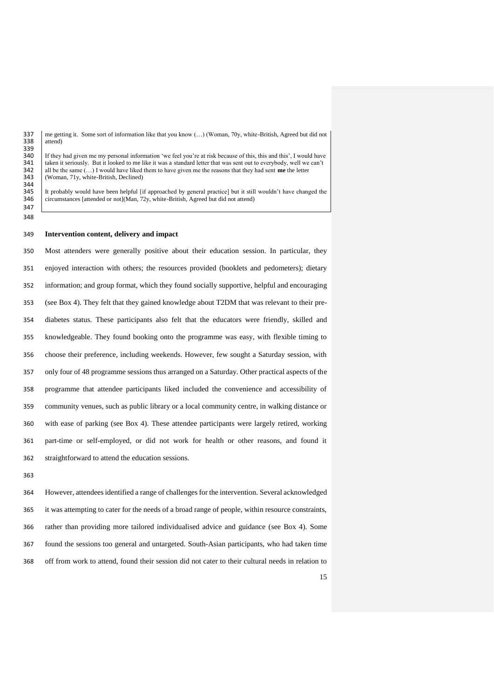337 me getting it. Some sort of information like that you know (...) (Woman, 70y, white-British, Agreed but did not attend) attend) 339<br>340

340 If they had given me my personal information 'we feel you're at risk because of this, this and this', I would have taken it seriously. But it looked to me like it was a standard letter that was sent out to everybody, w 341 taken it seriously. But it looked to me like it was a standard letter that was sent out to everybody, well we can't all be the same  $(\ldots)$  I would have liked them to have given me the reasons that they had sent me the 342 all be the same  $(...)$  I would have liked them to have given me the reasons that they had sent **me** the letter 343 (Woman, 71y, white-British, Declined) 344<br>345

 It probably would have been helpful [if approached by general practice] but it still wouldn't have changed the 346 circumstances [attended or not](Man, 72y, white-British, Agreed but did not attend)

 

#### **Intervention content, delivery and impact**

 Most attenders were generally positive about their education session. In particular, they enjoyed interaction with others; the resources provided (booklets and pedometers); dietary information; and group format, which they found socially supportive, helpful and encouraging (see Box 4). They felt that they gained knowledge about T2DM that was relevant to their pre- diabetes status. These participants also felt that the educators were friendly, skilled and knowledgeable. They found booking onto the programme was easy, with flexible timing to choose their preference, including weekends. However, few sought a Saturday session, with only four of 48 programme sessions thus arranged on a Saturday. Other practical aspects of the programme that attendee participants liked included the convenience and accessibility of community venues, such as public library or a local community centre, in walking distance or with ease of parking (see Box 4). These attendee participants were largely retired, working part-time or self-employed, or did not work for health or other reasons, and found it straightforward to attend the education sessions.

 However, attendees identified a range of challenges for the intervention. Several acknowledged it was attempting to cater for the needs of a broad range of people, within resource constraints, rather than providing more tailored individualised advice and guidance (see Box 4). Some found the sessions too general and untargeted. South-Asian participants, who had taken time off from work to attend, found their session did not cater to their cultural needs in relation to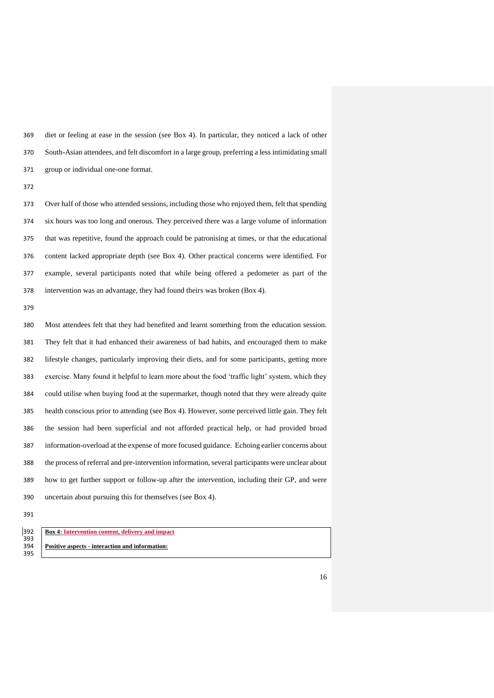diet or feeling at ease in the session (see Box 4). In particular, they noticed a lack of other South-Asian attendees, and felt discomfort in a large group, preferring a less intimidating small group or individual one-one format.

 Over half of those who attended sessions, including those who enjoyed them, felt that spending six hours was too long and onerous. They perceived there was a large volume of information that was repetitive, found the approach could be patronising at times, or that the educational content lacked appropriate depth (see Box 4). Other practical concerns were identified. For example, several participants noted that while being offered a pedometer as part of the intervention was an advantage, they had found theirs was broken (Box 4).

 Most attendees felt that they had benefited and learnt something from the education session. They felt that it had enhanced their awareness of bad habits, and encouraged them to make lifestyle changes, particularly improving their diets, and for some participants, getting more exercise. Many found it helpful to learn more about the food 'traffic light' system, which they could utilise when buying food at the supermarket, though noted that they were already quite health conscious prior to attending (see Box 4). However, some perceived little gain. They felt the session had been superficial and not afforded practical help, or had provided broad information-overload at the expense of more focused guidance. Echoing earlier concerns about the process of referral and pre-intervention information, several participants were unclear about how to get further support or follow-up after the intervention, including their GP, and were uncertain about pursuing this for themselves (see Box 4).

| <b>Box 4: Intervention content, delivery and impact</b> |
|---------------------------------------------------------|
|                                                         |
| <b>Positive aspects - interaction and information:</b>  |
|                                                         |
|                                                         |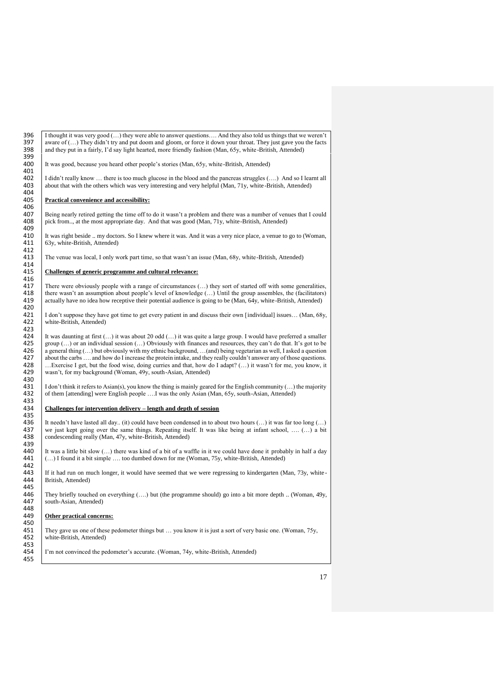396 I thought it was very good (...) they were able to answer questions.... And they also told us things that we weren't aware of  $\binom{n}{k}$ . They didn't try and put doom and gloom, or force it down your throat. They just 397 aware of  $(...)$  They didn't try and put doom and gloom, or force it down your throat. They just gave you the facts 398 and they put in a fairly, I'd say light hearted, more friendly fashion (Man, 65y, white-British, Atte and they put in a fairly, I'd say light hearted, more friendly fashion (Man, 65y, white-British, Attended) 399<br>400 It was good, because you heard other people's stories (Man, 65y, white-British, Attended) 401<br>402 402 I didn't really know ... there is too much glucose in the blood and the pancreas struggles (....) And so I learnt all about that with the others which was very interesting and very helpful (Man, 71y, white-British, Att about that with the others which was very interesting and very helpful (Man, 71y, white-British, Attended) 404<br>405 405 **Practical convenience and accessibility:** 406<br>407 407 Being nearly retired getting the time off to do it wasn't a problem and there was a number of venues that I could 408 pick from.., at the most appropriate day. And that was good (Man, 71y, white-British, Attended) pick from.., at the most appropriate day. And that was good (Man, 71y, white-British, Attended) 409<br>410 410 It was right beside .. my doctors. So I knew where it was. And it was a very nice place, a venue to go to (Woman,  $411 \over 63y$  white-British Attended)  $63y$ , white-British, Attended) 412<br>413 The venue was local, I only work part time, so that wasn't an issue (Man, 68y, white-British, Attended) 414<br>415 415 **Challenges of generic programme and cultural relevance:** 416<br>417 417 There were obviously people with a range of circumstances  $(...)$  they sort of started off with some generalities, the resume wasn't an assumption about people's level of knowledge  $(...)$  Until the group assembles, the (faci 418 there wasn't an assumption about people's level of knowledge  $(...)$  Until the group assembles, the (facilitators) actually have no idea how receptive their potential audience is going to be (Man, 64y, white-British, Atte actually have no idea how receptive their potential audience is going to be (Man,  $64y$ , white-British, Attended) 420<br>421 421 | I don't suppose they have got time to get every patient in and discuss their own [individual] issues... (Man, 68y, 422 white-British, Attended) 423 424 It was daunting at first  $(...)$  it was about 20 odd  $(...)$  it was quite a large group. I would have preferred a smaller 425 group  $(...)$  or an individual session  $(...)$  Obviously with finances and resources they can't do that 425 group  $(\dots)$  or an individual session  $(\dots)$  Obviously with finances and resources, they can't do that. It's got to be a general thing  $(\dots)$  but obviously with my ethnic background,  $(\dots)$  and being vegetarian as well, I 426 a general thing  $(...)$  but obviously with my ethnic background,  $...(and)$  being vegetarian as well, I asked a question about the carbs  $...$  and how do I increase the protein intake, and they really couldn't answer any of thos 427 about the carbs .... and how do I increase the protein intake, and they really couldn't answer any of those questions.<br>428 ... Exercise I get, but the food wise, doing curries and that, how do I adapt? (...) it wasn't 428 ... Exercise I get, but the food wise, doing curries and that, how do I adapt? (...) it wasn't for me, you know, it wasn't, for my background (Woman, 49y, south-Asian, Attended) wasn't, for my background (Woman, 49y, south-Asian, Attended) 430<br>431 431 I don't think it refers to Asian(s), you know the thing is mainly geared for the English community (...) the majority of them [attending] were English people .... I was the only Asian (Man, 65y, south-Asian, Attended) of them [attending] were English people ....I was the only Asian (Man, 65y, south-Asian, Attended)  $433$ <br> $434$ 434 **Challenges for intervention delivery – length and depth of session** 435<br>436 436 It needn't have lasted all day.. (it) could have been condensed in to about two hours  $(...)$  it was far too long  $(...)$  we just kept going over the same things. Repeating itself. It was like being at infant school, ...  $(...)$  437 we just kept going over the same things. Repeating itself. It was like being at infant school, .... (...) a bit condescending really (Man, 47y, white-British, Attended) condescending really (Man, 47y, white-British, Attended) 439<br>440 440 It was a little bit slow  $(...)$  there was kind of a bit of a waffle in it we could have done it probably in half a day<br>441 (...) I found it a bit simple  $...$  too dumbed down for me (Woman, 75y, white-British, Attended) (...) I found it a bit simple .... too dumbed down for me (Woman, 75y, white-British, Attended) 442<br>443 443 If it had run on much longer, it would have seemed that we were regressing to kindergarten (Man, 73y, white - British, Attended) 445<br>446 446 They briefly touched on everything (....) but (the programme should) go into a bit more depth .. (Woman, 49y, 447 south-Asian, Attended) 448<br>449 **Other practical concerns:** 450<br>451 451 They gave us one of these pedometer things but ... you know it is just a sort of very basic one. (Woman, 75y, 452 white-British. Attended) white-British, Attended) 453<br>454 I'm not convinced the pedometer's accurate. (Woman, 74y, white-British, Attended) 455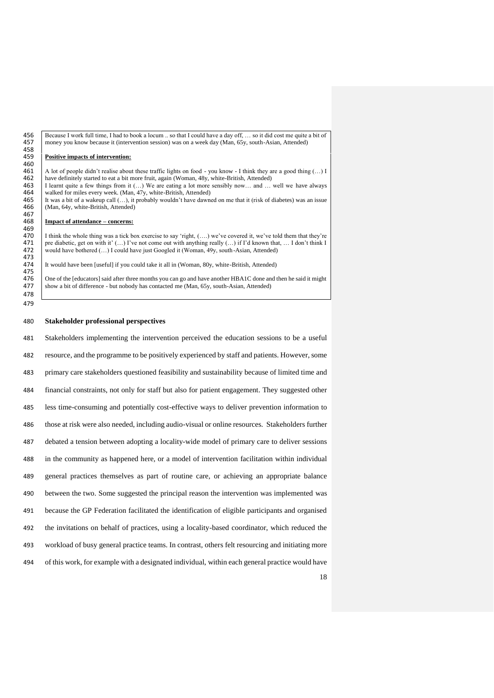456 Because I work full time, I had to book a locum ... so that I could have a day off, ... so it did cost me quite a bit of noney you know because it (intervention session) was on a week day (Man, 65y, south-Asian, Attend money you know because it (intervention session) was on a week day (Man, 65y, south-Asian, Attended)

#### 458<br>459 459 **Positive impacts of intervention:**

460<br>461 461 A lot of people didn't realise about these traffic lights on food - you know - I think they are a good thing  $(...)$  I<br>462 have definitely started to eat a bit more fruit, again (Woman, 48y, white-British, Attended) 462 have definitely started to eat a bit more fruit, again (Woman, 48y, white-British, Attended) 463 I learnt quite a few things from it (...) We are eating a lot more sensibly now... and ... 463 I learnt quite a few things from it (…) We are eating a lot more sensibly now… and … well we have always 464 walked for miles every week. (Man, 47y, white-British, Attended) 465 It was a bit of a wakeup call  $(...)$ , it probably wouldn't have dawn 465 It was a bit of a wakeup call  $(...)$ , it probably wouldn't have dawned on me that it (risk of diabetes) was an issue (Man, 64y, white-British, Attended) (Man, 64y, white-British, Attended) 467<br>468

#### 468 **Impact of attendance – concerns:**

469<br>470 470 I think the whole thing was a tick box exercise to say 'right,  $(...)$  we've covered it, we've told them that they're 471 redishedic get on with it'  $(+)$  I've not come out with anything really  $(+)$  if I'd known that I do 471 pre diabetic, get on with it'  $(...)$  I've not come out with anything really  $(...)$  if I'd known that, ... I don't think I would have bothered  $(...)$  I could have just Googled it (Woman, 49y, south-Asian, Attended) would have bothered (...) I could have just Googled it (Woman, 49y, south-Asian, Attended) 473

It would have been [useful] if you could take it all in (Woman, 80y, white-British, Attended)

475<br>476 476 One of the [educators] said after three months you can go and have another HBA1C done and then he said it might 477 show a bit of difference - but nobody has contacted me (Man, 65y, south-Asian, Attended) show a bit of difference - but nobody has contacted me (Man, 65y, south-Asian, Attended)

#### 480 **Stakeholder professional perspectives**

478 479

18 Stakeholders implementing the intervention perceived the education sessions to be a useful resource, and the programme to be positively experienced by staff and patients. However, some primary care stakeholders questioned feasibility and sustainability because of limited time and financial constraints, not only for staff but also for patient engagement. They suggested other less time-consuming and potentially cost-effective ways to deliver prevention information to those at risk were also needed, including audio-visual or online resources. Stakeholders further debated a tension between adopting a locality-wide model of primary care to deliver sessions in the community as happened here, or a model of intervention facilitation within individual general practices themselves as part of routine care, or achieving an appropriate balance between the two. Some suggested the principal reason the intervention was implemented was because the GP Federation facilitated the identification of eligible participants and organised the invitations on behalf of practices, using a locality-based coordinator, which reduced the workload of busy general practice teams. In contrast, others felt resourcing and initiating more of this work, for example with a designated individual, within each general practice would have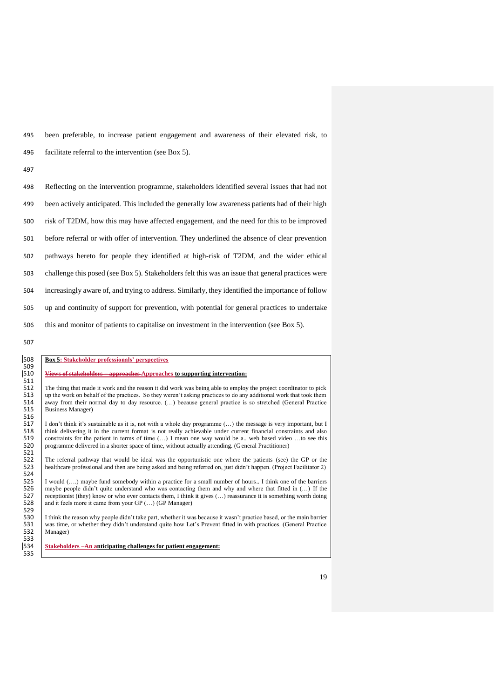495 been preferable, to increase patient engagement and awareness of their elevated risk, to 496 facilitate referral to the intervention (see Box 5).

497

| 498 | Reflecting on the intervention programme, stakeholders identified several issues that had not     |
|-----|---------------------------------------------------------------------------------------------------|
| 499 | been actively anticipated. This included the generally low awareness patients had of their high   |
| 500 | risk of T2DM, how this may have affected engagement, and the need for this to be improved         |
| 501 | before referral or with offer of intervention. They underlined the absence of clear prevention    |
| 502 | pathways hereto for people they identified at high-risk of T2DM, and the wider ethical            |
| 503 | challenge this posed (see Box 5). Stakeholders felt this was an issue that general practices were |
| 504 | increasingly aware of, and trying to address. Similarly, they identified the importance of follow |
| 505 | up and continuity of support for prevention, with potential for general practices to undertake    |
| 506 | this and monitor of patients to capitalise on investment in the intervention (see Box 5).         |

507

# 508 **Box 5: Stakeholder professionals' perspectives** 508<br>509<br>510

# 510 **Views of stakeholders – approaches Approaches to supporting intervention:** 511

512 The thing that made it work and the reason it did work was being able to employ the project coordinator to pick<br>513 up the work on behalf of the practices. So they weren't asking practices to do any additional work tha 513 up the work on behalf of the practices. So they weren't asking practices to do any additional work that took them<br>514 away from their normal day to day resource. (...) because general practice is so stretched (General 514 away from their normal day to day resource. (…) because general practice is so stretched (General Practice Business Manager)

516 517 I don't think it's sustainable as it is, not with a whole day programme (...) the message is very important, but I think delivering it in the current format is not really achievable under current financial constraints 518 think delivering it in the current format is not really achievable under current financial constraints and also<br>519 constraints for the patient in terms of time (...) I mean one way would be a.. web based video ...to s constraints for the patient in terms of time (...) I mean one way would be a.. web based video ...to see this programme delivered in a shorter space of time, without actually attending. (General Practitioner)

 $\frac{521}{522}$ 522 The referral pathway that would be ideal was the opportunistic one where the patients (see) the GP or the 523 healthcare professional and then are being asked and being referred on, just didn't happen. (Project Facilit healthcare professional and then are being asked and being referred on, just didn't happen. (Project Facilitator 2) 524

525 I would (....) maybe fund somebody within a practice for a small number of hours.. I think one of the barriers 526 maybe people didn't quite understand who was contacting them and why and where that fitted in (...) If 526 maybe people didn't quite understand who was contacting them and why and where that fitted in (...) If the<br>527 eceptionist (they) know or who ever contacts them. I think it gives (...) reassurance it is something worth 527 receptionist (they) know or who ever contacts them, I think it gives (...) reassurance it is something worth doing<br>528 and it feels more it came from your GP (...) (GP Manager) and it feels more it came from your GP  $(...)$  (GP Manager)

529<br>530<br>531 I think the reason why people didn't take part, whether it was because it wasn't practice based, or the main barrier 531 was time, or whether they didn't understand quite how Let's Prevent fitted in with practices. (General Practice Manager) Manager)

533<br>534 534 **Stakeholders –An anticipating challenges for patient engagement:** 535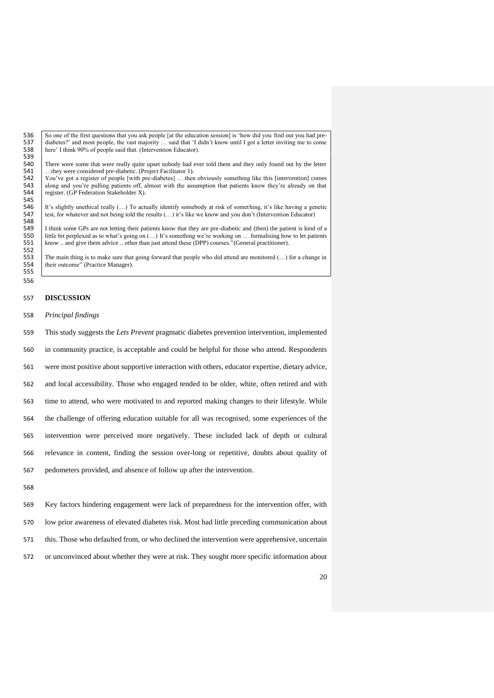536 So one of the first questions that you ask people [at the education session] is 'how did you find out you had pre-<br>537 diabetes?' and most people, the vast majority ... said that 'I didn't know until I got a letter inv 537 diabetes?' and most people, the vast majority ... said that 'I didn't know until I got a letter inviting me to come<br>538 here' I think 90% of people said that. (Intervention Educator). here' I think 90% of people said that. (Intervention Educator).

539<br>540 540 There were some that were really quite upset nobody had ever told them and they only found out by the letter 541 ...they were considered pre-diabetic. (Project Facilitator 1). 541 ...they were considered pre-diabetic. (Project Facilitator 1).<br>542 You've got a register of people [with pre-diabetes] ....then

542 You've got a register of people [with pre-diabetes] ....then obviously something like this [intervention] comes 543 along and you're pulling patients off, almost with the assumption that patients know they're already o 543 along and you're pulling patients off, almost with the assumption that patients know they're already on that patients (GP Federation Stakeholder X). register. (GP Federation Stakeholder X).

545 546 It's slightly unethical really (...) To actually identify somebody at risk of something, it's like having a genetic test, for whatever and not being told the results (...) it's like we know and you don't (Intervention test, for whatever and not being told the results (...) it's like we know and you don't (Intervention Educator)

548<br>549 549 I think some GPs are not letting their patients know that they are pre-diabetic and (then) the patient is kind of a<br>550 I ittle bit perplexed as to what's going on  $(...)$  It's something we're working on ... formalising h 550 little bit perplexed as to what's going on  $(...)$  It's something we're working on  $...$  formalising how to let patients 551 know and give them advice other than just attend these (DPP) courses "(General practitioner) know .. and give them advice .. other than just attend these (DPP) courses."(General practitioner).

552 553 The main thing is to make sure that going forward that people who did attend are monitored (...) for a change in their outcome" (Practice Manager). their outcome" (Practice Manager).

#### 555 556

# 557 **DISCUSSION**

558 *Principal findings*

 This study suggests the *Lets Prevent* pragmatic diabetes prevention intervention, implemented in community practice, is acceptable and could be helpful for those who attend. Respondents were most positive about supportive interaction with others, educator expertise, dietary advice, and local accessibility. Those who engaged tended to be older, white, often retired and with time to attend, who were motivated to and reported making changes to their lifestyle. While

564 the challenge of offering education suitable for all was recognised, some experiences of the

565 intervention were perceived more negatively. These included lack of depth or cultural

566 relevance in content, finding the session over-long or repetitive, doubts about quality of

- 567 pedometers provided, and absence of follow up after the intervention.
- 568

569 Key factors hindering engagement were lack of preparedness for the intervention offer, with

570 low prior awareness of elevated diabetes risk. Most had little preceding communication about

571 this. Those who defaulted from, or who declined the intervention were apprehensive, uncertain

572 or unconvinced about whether they were at risk. They sought more specific information about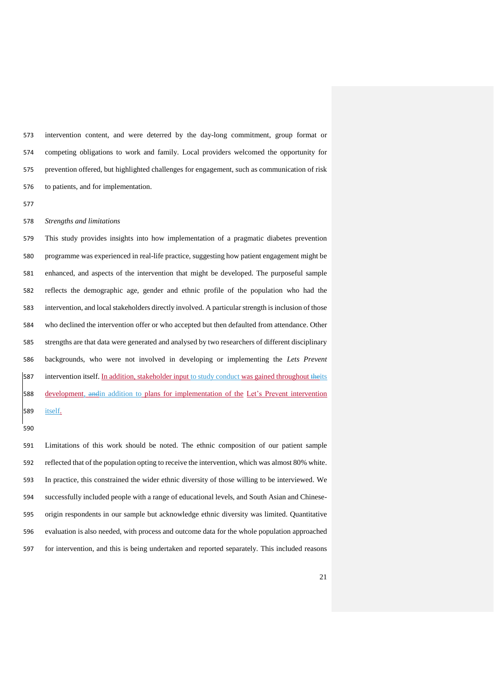intervention content, and were deterred by the day-long commitment, group format or competing obligations to work and family. Local providers welcomed the opportunity for prevention offered, but highlighted challenges for engagement, such as communication of risk to patients, and for implementation.

### *Strengths and limitations*

 This study provides insights into how implementation of a pragmatic diabetes prevention programme was experienced in real-life practice, suggesting how patient engagement might be enhanced, and aspects of the intervention that might be developed. The purposeful sample reflects the demographic age, gender and ethnic profile of the population who had the intervention, and local stakeholders directly involved. A particular strength is inclusion of those who declined the intervention offer or who accepted but then defaulted from attendance. Other strengths are that data were generated and analysed by two researchers of different disciplinary backgrounds, who were not involved in developing or implementing the *Lets Prevent* 587 intervention itself. In addition, stakeholder input to study conduct was gained throughout theits 588 development, and in addition to plans for implementation of the Let's Prevent intervention 589 <u>itself.</u>

 Limitations of this work should be noted. The ethnic composition of our patient sample reflected that of the population opting to receive the intervention, which was almost 80% white. In practice, this constrained the wider ethnic diversity of those willing to be interviewed. We successfully included people with a range of educational levels, and South Asian and Chinese- origin respondents in our sample but acknowledge ethnic diversity was limited. Quantitative evaluation is also needed, with process and outcome data for the whole population approached for intervention, and this is being undertaken and reported separately. This included reasons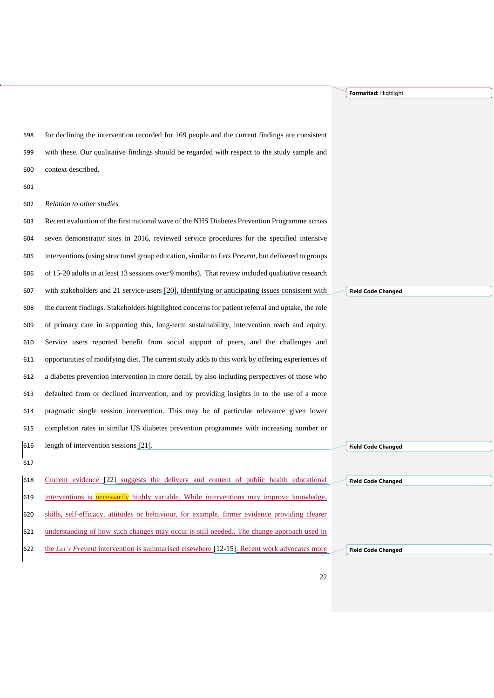**Formatted:** Highlight

 for declining the intervention recorded for 169 people and the current findings are consistent with these. Our qualitative findings should be regarded with respect to the study sample and context described.

*Relation to other studies*

 Recent evaluation of the first national wave of the NHS Diabetes Prevention Programme across seven demonstrator sites in 2016, reviewed service procedures for the specified intensive interventions (using structured group education, similar to *Lets Prevent*, but delivered to groups of 15-20 adultsin at least 13 sessions over 9 months). That review included qualitative research with stakeholders and 21 service-users [20], identifying or anticipating issues consistent with the current findings. Stakeholders highlighted concerns for patient referral and uptake, the role of primary care in supporting this, long-term sustainability, intervention reach and equity. Service users reported benefit from social support of peers, and the challenges and opportunities of modifying diet. The current study adds to this work by offering experiences of a diabetes prevention intervention in more detail, by also including perspectives of those who defaulted from or declined intervention, and by providing insights in to the use of a more pragmatic single session intervention. This may be of particular relevance given lower completion rates in similar US diabetes prevention programmes with increasing number or length of intervention sessions [21].

 Current evidence [22] suggests the delivery and content of public health educational 619 interventions is necessarily highly variable. While interventions may improve knowledge, skills, self-efficacy, attitudes or behaviour, for example, firmer evidence providing clearer understanding of how such changes may occur is still needed.. The change approach used in the *Let's Prevent* intervention is summarised elsewhere [12-15]. Recent work advocates more **Field Code Changed**

**Field Code Changed**

**Field Code Changed**

**Field Code Changed**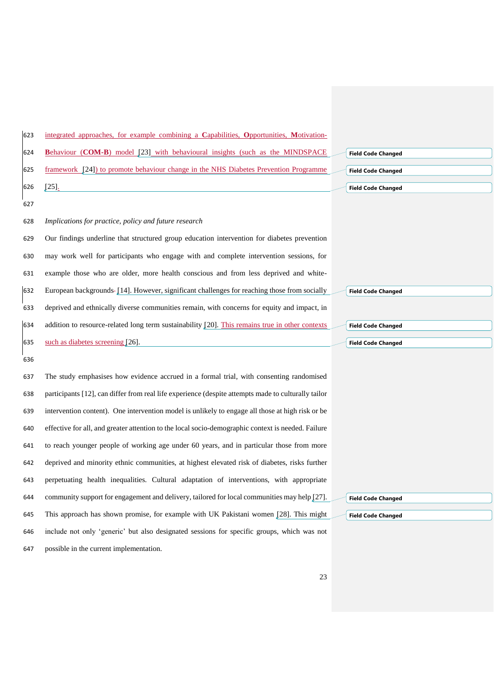| 623 | integrated approaches, for example combining a Capabilities, Opportunities, Motivation-             |                           |
|-----|-----------------------------------------------------------------------------------------------------|---------------------------|
| 624 | <b>Behaviour (COM-B)</b> model [23] with behavioural insights (such as the MINDSPACE                | <b>Field Code Changed</b> |
| 625 | framework [24]) to promote behaviour change in the NHS Diabetes Prevention Programme                | <b>Field Code Changed</b> |
| 626 | [25]                                                                                                | <b>Field Code Changed</b> |
| 627 |                                                                                                     |                           |
| 628 | Implications for practice, policy and future research                                               |                           |
| 629 | Our findings underline that structured group education intervention for diabetes prevention         |                           |
| 630 | may work well for participants who engage with and complete intervention sessions, for              |                           |
| 631 | example those who are older, more health conscious and from less deprived and white-                |                           |
| 632 | European backgrounds-[14]. However, significant challenges for reaching those from socially         | <b>Field Code Changed</b> |
| 633 | deprived and ethnically diverse communities remain, with concerns for equity and impact, in         |                           |
| 634 | addition to resource-related long term sustainability [20]. This remains true in other contexts     | <b>Field Code Changed</b> |
| 635 | such as diabetes screening $[26]$ .                                                                 | <b>Field Code Changed</b> |
| 636 |                                                                                                     |                           |
| 637 | The study emphasises how evidence accrued in a formal trial, with consenting randomised             |                           |
| 638 | participants [12], can differ from real life experience (despite attempts made to culturally tailor |                           |
| 639 | intervention content). One intervention model is unlikely to engage all those at high risk or be    |                           |
| 640 | effective for all, and greater attention to the local socio-demographic context is needed. Failure  |                           |
| 641 | to reach younger people of working age under 60 years, and in particular those from more            |                           |
| 642 | deprived and minority ethnic communities, at highest elevated risk of diabetes, risks further       |                           |
| 643 | perpetuating health inequalities. Cultural adaptation of interventions, with appropriate            |                           |
| 644 | community support for engagement and delivery, tailored for local communities may help [27].        | <b>Field Code Changed</b> |
| 645 | This approach has shown promise, for example with UK Pakistani women [28]. This might               | <b>Field Code Changed</b> |
| 646 | include not only 'generic' but also designated sessions for specific groups, which was not          |                           |
| 647 | possible in the current implementation.                                                             |                           |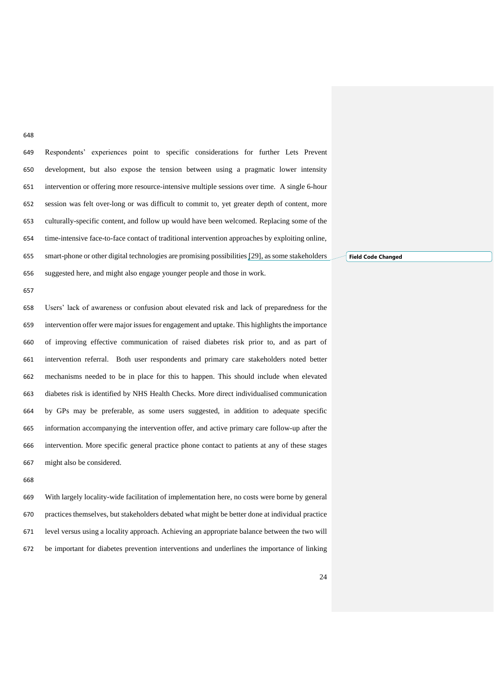Respondents' experiences point to specific considerations for further Lets Prevent development, but also expose the tension between using a pragmatic lower intensity intervention or offering more resource-intensive multiple sessions over time. A single 6-hour session was felt over-long or was difficult to commit to, yet greater depth of content, more culturally-specific content, and follow up would have been welcomed. Replacing some of the time-intensive face-to-face contact of traditional intervention approaches by exploiting online, smart-phone or other digital technologies are promising possibilities [29], as some stakeholders suggested here, and might also engage younger people and those in work.

 Users' lack of awareness or confusion about elevated risk and lack of preparedness for the 659 intervention offer were major issues for engagement and uptake. This highlights the importance of improving effective communication of raised diabetes risk prior to, and as part of intervention referral. Both user respondents and primary care stakeholders noted better mechanisms needed to be in place for this to happen. This should include when elevated diabetes risk is identified by NHS Health Checks. More direct individualised communication by GPs may be preferable, as some users suggested, in addition to adequate specific information accompanying the intervention offer, and active primary care follow-up after the intervention. More specific general practice phone contact to patients at any of these stages might also be considered.

 With largely locality-wide facilitation of implementation here, no costs were borne by general practices themselves, but stakeholders debated what might be better done at individual practice level versus using a locality approach. Achieving an appropriate balance between the two will be important for diabetes prevention interventions and underlines the importance of linking

**Field Code Changed**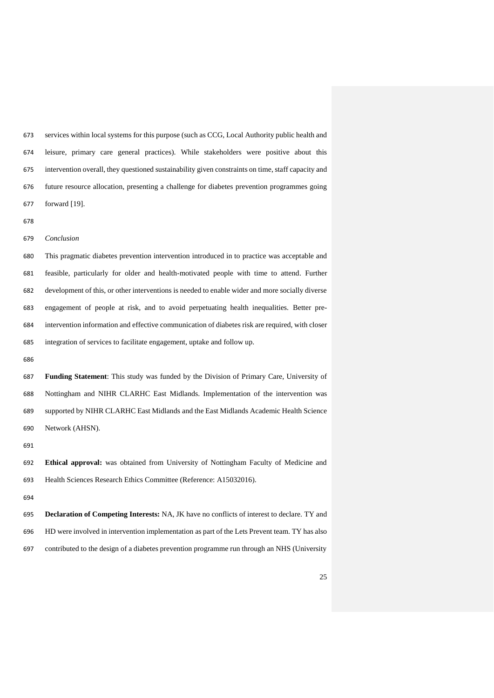services within local systems for this purpose (such as CCG, Local Authority public health and leisure, primary care general practices). While stakeholders were positive about this intervention overall, they questioned sustainability given constraints on time, staff capacity and future resource allocation, presenting a challenge for diabetes prevention programmes going forward [19].

*Conclusion*

 This pragmatic diabetes prevention intervention introduced in to practice was acceptable and feasible, particularly for older and health-motivated people with time to attend. Further development of this, or other interventions is needed to enable wider and more socially diverse engagement of people at risk, and to avoid perpetuating health inequalities. Better pre- intervention information and effective communication of diabetes risk are required, with closer integration of services to facilitate engagement, uptake and follow up.

 **Funding Statement**: This study was funded by the Division of Primary Care, University of Nottingham and NIHR CLARHC East Midlands. Implementation of the intervention was supported by NIHR CLARHC East Midlands and the East Midlands Academic Health Science Network (AHSN).

 **Ethical approval:** was obtained from University of Nottingham Faculty of Medicine and Health Sciences Research Ethics Committee (Reference: A15032016).

 **Declaration of Competing Interests:** NA, JK have no conflicts of interest to declare. TY and HD were involved in intervention implementation as part of the Lets Prevent team. TY has also contributed to the design of a diabetes prevention programme run through an NHS (University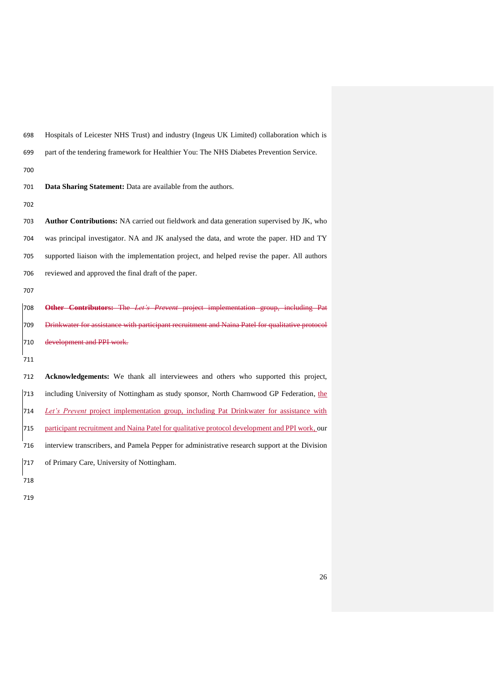| 698 | Hospitals of Leicester NHS Trust) and industry (Ingeus UK Limited) collaboration which is       |
|-----|-------------------------------------------------------------------------------------------------|
| 699 | part of the tendering framework for Healthier You: The NHS Diabetes Prevention Service.         |
| 700 |                                                                                                 |
| 701 | Data Sharing Statement: Data are available from the authors.                                    |
| 702 |                                                                                                 |
| 703 | Author Contributions: NA carried out fieldwork and data generation supervised by JK, who        |
| 704 | was principal investigator. NA and JK analysed the data, and wrote the paper. HD and TY         |
| 705 | supported liaison with the implementation project, and helped revise the paper. All authors     |
| 706 | reviewed and approved the final draft of the paper.                                             |
| 707 |                                                                                                 |
| 708 | Other Contributors: The Let's Prevent project implementation group, including Pat               |
| 709 | Drinkwater for assistance with participant recruitment and Naina Patel for qualitative protocol |
| 710 | development and PPI work.                                                                       |
| 711 |                                                                                                 |
| 712 | Acknowledgements: We thank all interviewees and others who supported this project,              |
| 713 | including University of Nottingham as study sponsor, North Charnwood GP Federation, the         |
| 714 | Let's Prevent project implementation group, including Pat Drinkwater for assistance with        |
| 715 | participant recruitment and Naina Patel for qualitative protocol development and PPI work, our  |
| 716 | interview transcribers, and Pamela Pepper for administrative research support at the Division   |
| 717 | of Primary Care, University of Nottingham.                                                      |
| 718 |                                                                                                 |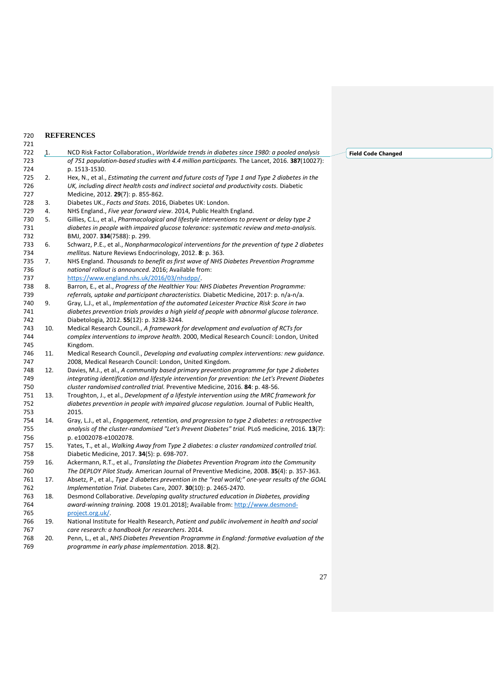#### **REFERENCES** 720<br>721

| 721 |                |                                                                                                  |
|-----|----------------|--------------------------------------------------------------------------------------------------|
| 722 | $\mathbf{1}$ . | NCD Risk Factor Collaboration., Worldwide trends in diabetes since 1980: a pooled analysis       |
| 723 |                | of 751 population-based studies with 4.4 million participants. The Lancet, 2016. 387(10027):     |
| 724 |                | p. 1513-1530.                                                                                    |
| 725 | 2.             | Hex, N., et al., Estimating the current and future costs of Type 1 and Type 2 diabetes in the    |
| 726 |                | UK, including direct health costs and indirect societal and productivity costs. Diabetic         |
| 727 |                | Medicine, 2012. 29(7): p. 855-862.                                                               |
| 728 | 3.             | Diabetes UK., Facts and Stats. 2016, Diabetes UK: London.                                        |
| 729 | 4.             | NHS England., Five year forward view. 2014, Public Health England.                               |
| 730 | 5.             | Gillies, C.L., et al., Pharmacological and lifestyle interventions to prevent or delay type 2    |
| 731 |                | diabetes in people with impaired glucose tolerance: systematic review and meta-analysis.         |
| 732 |                | BMJ, 2007. 334(7588): p. 299.                                                                    |
| 733 | 6.             | Schwarz, P.E., et al., Nonpharmacological interventions for the prevention of type 2 diabetes    |
| 734 |                | mellitus. Nature Reviews Endocrinology, 2012. 8: p. 363.                                         |
| 735 | 7.             | NHS England. Thousands to benefit as first wave of NHS Diabetes Prevention Programme             |
| 736 |                | national rollout is announced. 2016; Available from:                                             |
| 737 |                | https://www.england.nhs.uk/2016/03/nhsdpp/.                                                      |
| 738 | 8.             | Barron, E., et al., Progress of the Healthier You: NHS Diabetes Prevention Programme:            |
| 739 |                | referrals, uptake and participant characteristics. Diabetic Medicine, 2017: p. n/a-n/a.          |
| 740 | 9.             | Gray, L.J., et al., Implementation of the automated Leicester Practice Risk Score in two         |
| 741 |                | diabetes prevention trials provides a high yield of people with abnormal glucose tolerance.      |
| 742 |                | Diabetologia, 2012. 55(12): p. 3238-3244.                                                        |
| 743 | 10.            | Medical Research Council., A framework for development and evaluation of RCTs for                |
| 744 |                | complex interventions to improve health. 2000, Medical Research Council: London, United          |
| 745 |                | Kingdom.                                                                                         |
| 746 | 11.            | Medical Research Council., Developing and evaluating complex interventions: new quidance.        |
| 747 |                | 2008, Medical Research Council: London, United Kingdom.                                          |
| 748 | 12.            | Davies, M.J., et al., A community based primary prevention programme for type 2 diabetes         |
| 749 |                | integrating identification and lifestyle intervention for prevention: the Let's Prevent Diabetes |
| 750 |                | cluster randomised controlled trial. Preventive Medicine, 2016. 84: p. 48-56.                    |
| 751 | 13.            | Troughton, J., et al., Development of a lifestyle intervention using the MRC framework for       |
| 752 |                | diabetes prevention in people with impaired glucose regulation. Journal of Public Health,        |
| 753 |                | 2015.                                                                                            |
| 754 | 14.            | Gray, L.J., et al., Engagement, retention, and progression to type 2 diabetes: a retrospective   |
| 755 |                | analysis of the cluster-randomised "Let's Prevent Diabetes" trial. PLoS medicine, 2016. 13(7):   |
| 756 |                | p. e1002078-e1002078.                                                                            |
| 757 | 15.            | Yates, T., et al., Walking Away from Type 2 diabetes: a cluster randomized controlled trial.     |
| 758 |                | Diabetic Medicine, 2017. 34(5): p. 698-707.                                                      |
| 759 | 16.            | Ackermann, R.T., et al., Translating the Diabetes Prevention Program into the Community          |
| 760 |                | The DEPLOY Pilot Study. American Journal of Preventive Medicine, 2008. 35(4): p. 357-363.        |
| 761 | 17.            | Absetz, P., et al., Type 2 diabetes prevention in the "real world;" one-year results of the GOAL |
| 762 |                | Implementation Trial. Diabetes Care, 2007. 30(10): p. 2465-2470.                                 |
| 763 | 18.            | Desmond Collaborative. Developing quality structured education in Diabetes, providing            |
| 764 |                | award-winning training. 2008 19.01.2018]; Available from: http://www.desmond-                    |
| 765 |                | project.org.uk/.                                                                                 |
| 766 | 19.            | National Institute for Health Research, Patient and public involvement in health and social      |
| 767 |                | care research: a handbook for researchers. 2014.                                                 |
| 768 | 20.            | Penn, L., et al., NHS Diabetes Prevention Programme in England: formative evaluation of the      |
| 769 |                | programme in early phase implementation. 2018. 8(2).                                             |

# **Field Code Changed**